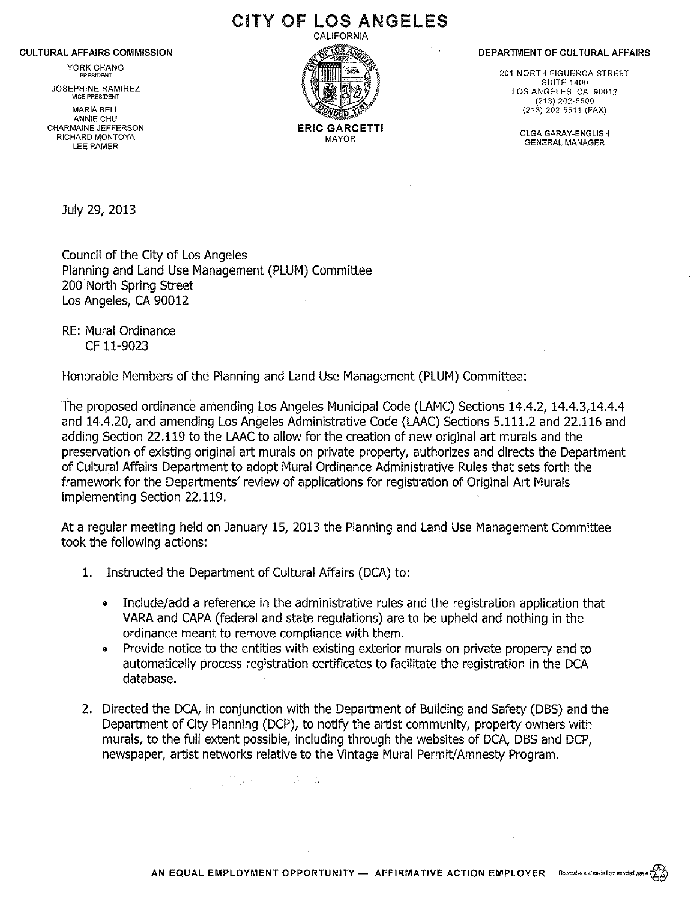#### CULTURAL AFFAIRS COMMISSION

YORK CHANG **PRESIDENT** 

JOSEPHINE RAMIREZ VICE PRESIDENT

MARIA BELL ANNIE CHU CHARMAINE JEFFERSON RICHARD MONTOYA LEE RAMER

CALIFORNIA ERIC GARCETTI MAYOR

CITY OF LOS ANGELES

DEPARTMENT OF CULTURAL AFFAIRS

201 NORTH FIGUEROA STREET SUITE 1400 LOS ANGELES, CA 90012 (213) 202-5500 (213) 202-5511 (FAX)

> OLGA GARAY-ENGLISH GENERAL MANAGER

July 29, 2013

Council of the City of Los Angeles Planning and Land Use Management (PLUM) Committee 200 North Spring Street Los Angeles, CA 90012

RE: Mural Ordinance CF 11-9023

Honorable Members of the Planning and Land Use Management (PLUM) Committee:

The proposed ordinance amending Los Angeles Municipal Code (LAMC) Sections 14.4.2, 14.4.3,14.4.4 and 14.4.20, and amending Los Angeles Administrative Code (LAAC) Sections 5.111.2 and 22.116 and adding Section 22.119 to the LAAC to allow for the creation of new original art murals and the preservation of existing original art murals on private property, authorizes and directs the Department of Cultural Affairs Department to adopt Mural Ordinance Administrative Rules that sets forth the framework for the Departments' review of applications for registration of Original Art Murals implementing Section 22.119.

At a regular meeting held on January 15, 2013 the Planning and Land Use Management Committee took the following actions:

1. Instructed the Department of Cultural Affairs (DCA) to:

- Include/add a reference in the administrative rules and the registration application that VARA and CAPA (federal and state regulations) are to be upheld and nothing in the ordinance meant to remove compliance with them.
- Provide notice to the entities with existing exterior murals on private property and to automatically process registration certificates to facilitate the registration in the DCA database.
- 2. Directed the DCA, in conjunction with the Department of Building and Safety (DBS) and the Department of City Planning (DCP), to notify the artist community, property owners with murals, to the full extent possible, including through the websites of DCA, DBS and DCP, newspaper, artist networks relative to the Vintage Mural Permit/ Amnesty Program.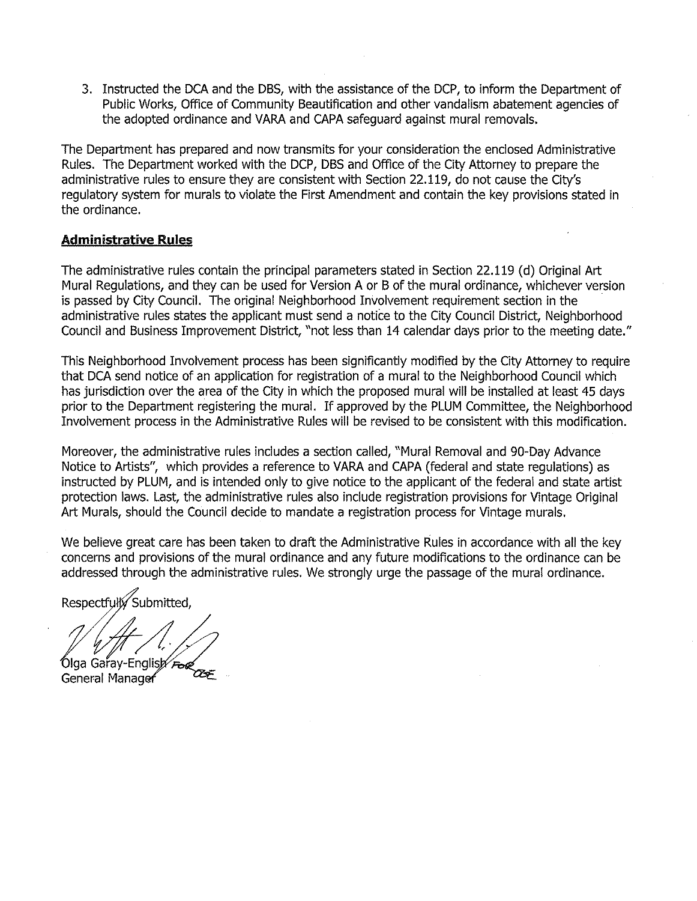3. Instructed the DCA and the DBS, with the assistance of the DCP, to inform the Department of Public Works, Office of Community Beautification and other vandalism abatement agencies of the adopted ordinance and VARA and CAPA safeguard against mural removals.

The Department has prepared and now transmits for your consideration the enclosed Administrative Rules. The Department worked with the DCP, DBS and Office of the City Attorney to prepare the administrative rules to ensure they are consistent with Section 22.119, do not cause the City's regulatory system for murals to violate the First Amendment and contain the key provisions stated in the ordinance.

## **Administrative Rules**

The administrative rules contain the principal parameters stated in Section 22.119 (d) Original Art Mural Regulations, and they can be used for Version A or B of the mural ordinance, whichever version is passed by City Council. The original Neighborhood Involvement requirement section in the administrative rules states the applicant must send a notice to the City Council District, Neighborhood Council and Business Improvement District, "not less than 14 calendar days prior to the meeting date."

This Neighborhood Involvement process has been significantly modified by the City Attorney to require that DCA send notice of an application for registration of a mural to the Neighborhood Council which has jurisdiction over the area of the City in which the proposed mural will be installed at least 45 days prior to the Department registering the mural. If approved by the PLUM Committee, the Neighborhood Involvement process in the Administrative Rules will be revised to be consistent with this modification.

Moreover, the administrative rules includes a section called, "Mural Removal and 90-Day Advance Notice to Artists", which provides a reference to VARA and CAPA (federal and state regulations) as instructed by PLUM, and is intended only to give notice to the applicant of the federal and state artist protection laws. Last, the administrative rules also include registration provisions for Vintage Original Art Murals, should the Council decide to mandate a registration process for Vintage murals.

We believe great care has been taken to draft the Administrative Rules in accordance with all the key concerns and provisions of the mural ordinance and any future modifications to the ordinance can be addressed through the administrative rules. We strongly urge the passage of the mural ordinance.

Respectfulto Submitted.

Olga Garay-English

General Manag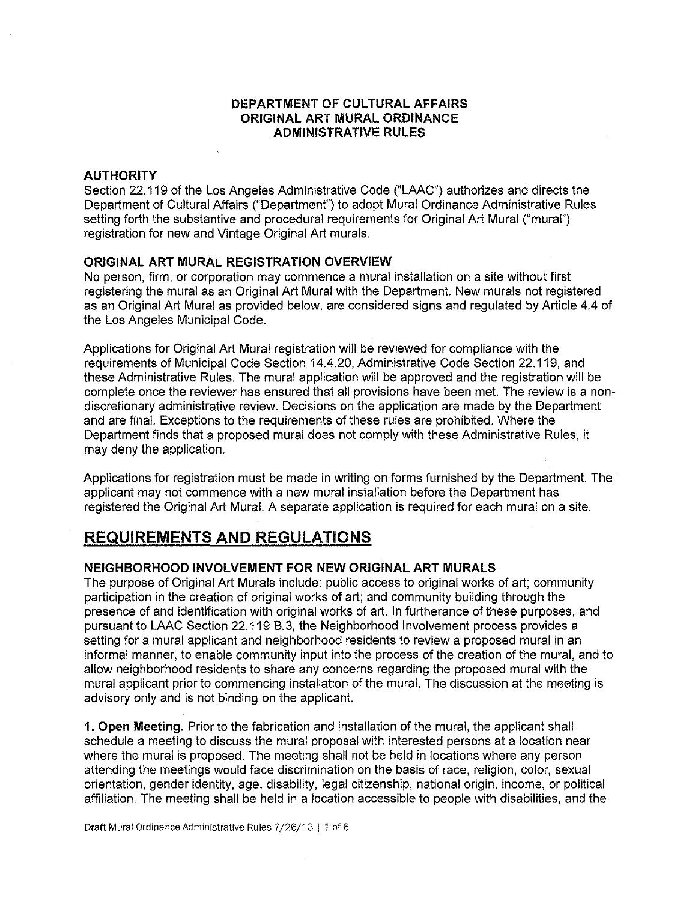## **DEPARTMENT OF CULTURAL AFFAIRS ORIGINAL ART MURAL ORDINANCE ADMINISTRATIVE RULES**

#### **AUTHORITY**

Section 22.119 of the Los Angeles Administrative Code ("LAAC") authorizes and directs the Department of Cultural Affairs ("Department") to adopt Mural Ordinance Administrative Rules setting forth the substantive and procedural requirements for Original Art Mural ("mural") registration for new and Vintage Original Art murals.

### **ORIGINAL ART MURAL REGISTRATION OVERVIEW**

No person, firm, or corporation may commence a mural installation on a site without first registering the mural as an Original Art Mural with the Department. New murals not registered as an Original Art Mural as provided below, are considered signs and regulated by Article 4.4 of the Los Angeles Municipal Code.

Applications for Original Art Mural registration will be reviewed for compliance with the requirements of Municipal Code Section 14.4.20, Administrative Code Section 22.119, and these Administrative Rules. The mural application will be approved and the registration will be complete once the reviewer has ensured that all provisions have been met. The review is a nondiscretionary administrative review. Decisions on the application are made by the Department and are final. Exceptions to the requirements of these rules are prohibited. Where the Department finds that a proposed mural does not comply with these Administrative Rules, it may deny the application.

Applications for registration must be made in writing on forms furnished by the Department. The applicant may not commence with a new mural installation before the Department has registered the Original Art Mural. A separate application is required for each mural on a site.

## **REQUIREMENTS AND REGULATIONS**

### **NEIGHBORHOOD INVOLVEMENT FOR NEW ORIGINAL ART MURALS**

The purpose of Original Art Murals include: public access to original works of art; community participation in the creation of original works of art; and community building through the presence of and identification with original works of art. In furtherance of these purposes, and pursuant to LAAC Section 22.119 8.3, the Neighborhood Involvement process provides a setting for a mural applicant and neighborhood residents to review a proposed mural in an informal manner, to enable community input into the process of the creation of the mural, and to allow neighborhood residents to share any concerns regarding the proposed mural with the mural applicant prior to commencing installation of the mural. The discussion at the meeting is advisory only and is not binding on the applicant.

**1. Open Meeting.** Prior to the fabrication and installation of the mural, the applicant shall schedule a meeting to discuss the mural proposal with interested persons at a location near where the mural is proposed. The meeting shall not be held in locations where any person attending the meetings would face discrimination on the basis of race, religion, color, sexual orientation, gender identity, age, disability, legal citizenship, national origin, income, or political affiliation. The meeting shall be held in a location accessible to people with disabilities, and the

 $\mathcal{L}$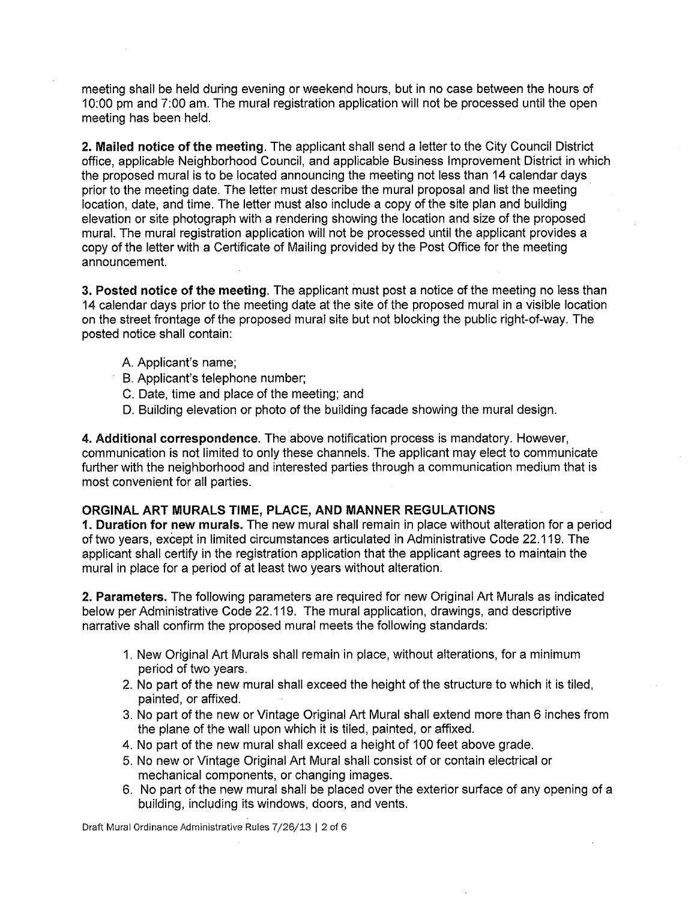meeting shall be held during evening or weekend hours, but in no case between the hours of 10:00 pm and 7:00 am. The mural registration application will not be processed until the open meeting has been held.

**2. Mailed notice of the meeting.** The applicant shall send a letter to the City Council District office, applicable Neighborhood Council, and applicable Business Improvement District in which the proposed mural is to be located announcing the meeting not less than 14 calendar days prior to the meeting date. The letter must describe the mural proposal and list the meeting location, date, and time. The letter must also include a copy of the site plan and building elevation or site photograph with a rendering showing the location and size of the proposed mural. The mural registration application will not be processed until the applicant provides a copy of the letter with a Certificate of Mailing provided by the Post Office for the meeting announcement.

**3. Posted notice of the meeting.** The applicant must post a notice of the meeting no less than 14 calendar days prior to the meeting date at the site of the proposed mural in a visible location on the street frontage of the proposed mural site but not blocking the public right-of-way. The posted notice shall contain:

- A. Applicant's name;
- B. Applicant's telephone number;
- C. Date, time and place of the meeting; and
- D. Building elevation or photo of the building facade showing the mural design.

**4. Additional correspondence.** The above notification process is mandatory. However, communication is not limited to only these channels. The applicant may elect to communicate further with the neighborhood and interested parties through a communication medium that is most convenient for all parties.

### **ORGINAL ART MURALS TIME, PLACE, AND MANNER REGULATIONS**

**1. Duration for new murals.** The new mural shall remain in place without alteration for a period of two years, except in limited circumstances articulated in Administrative Code 22.119. The applicant shall certify in the registration application that the applicant agrees to maintain the mural in place for a period of at least two years without alteration.

**2. Parameters.** The following parameters are required for new Original Art Murals as indicated below per Administrative Code 22.119. The mural application, drawings, and descriptive narrative shall confirm the proposed mural meets the following standards:

- 1. New Original Art Murals shall remain in place, without alterations, for a minimum period of two years.
- 2. No part of the new mural shall exceed the height of the structure to which it is tiled, painted, or affixed.
- 3. No part of the new or Vintage Original Art Mural shall extend more than 6 inches from the plane of the wall upon which it is tiled, painted, or affixed.
- 4. No part of the new mural shall exceed a height of 100 feet above grade.
- 5. No new or Vintage Original Art Mural shall consist of or contain electrical or mechanical components, or changing images.
- 6. No part of the new mural shall be placed over the exterior surface of any opening of a building, including its windows, doors, and vents.

Draft Mural Ordinance Administrative Rules 7/26/13 I 2 of 6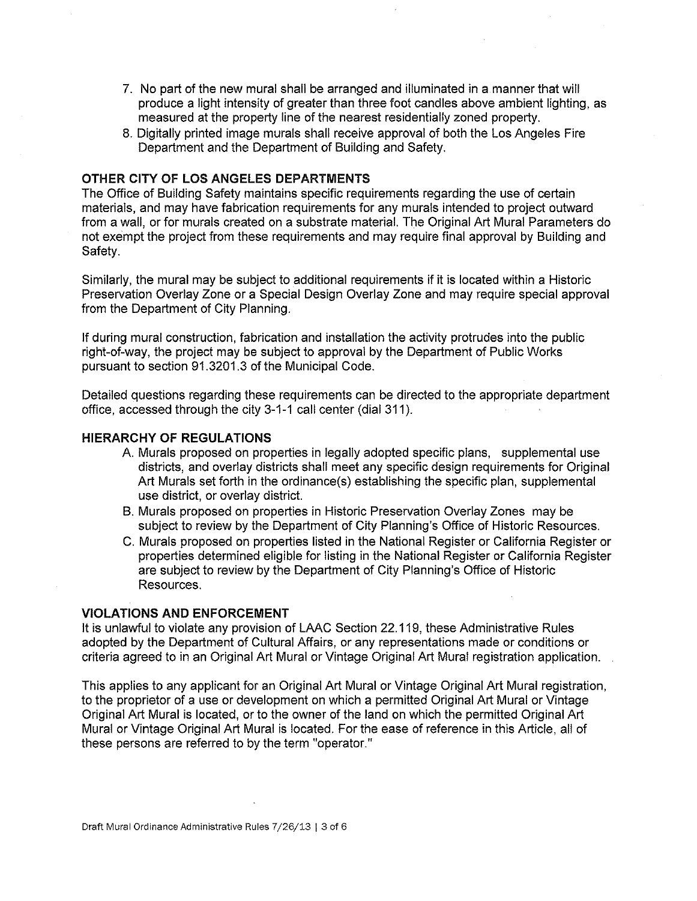- 7. No part of the new mural shall be arranged and illuminated in a manner that will produce a light intensity of greater than three foot candles above ambient lighting, as measured at the property line of the nearest residentially zoned property.
- 8. Digitally printed image murals shall receive approval of both the Los Angeles Fire Department and the Department of Building and Safety.

#### **OTHER CITY OF LOS ANGELES DEPARTMENTS**

The Office of Building Safety maintains specific requirements regarding the use of certain materials, and may have fabrication requirements for any murals intended to project outward from a wall, or for murals created on a substrate material. The Original Art Mural Parameters do not exempt the project from these requirements and may require final approval by Building and Safety.

Similarly, the mural may be subject to additional requirements if it is located within a Historic Preservation Overlay Zone or a Special Design Overlay Zone and may require special approval from the Department of City Planning.

If during mural construction, fabrication and installation the activity protrudes into the public right-of-way, the project may be subject to approval by the Department of Public Works pursuant to section 91.3201.3 of the Municipal Code.

Detailed questions regarding these requirements can be directed to the appropriate department office, accessed through the city 3-1-1 call center (dial 311).

## **HIERARCHY OF REGULATIONS**

- A. Murals proposed on properties in legally adopted specific plans, supplemental use districts, and overlay districts shall meet any specific design requirements for Original Art Murals set forth in the ordinance(s) establishing the specific plan, supplemental use district, or overlay district.
- B. Murals proposed on properties in Historic Preservation Overlay Zones may be subject to review by the Department of City Planning's Office of Historic Resources.
- C. Murals proposed on properties listed in the National Register or California Register or properties determined eligible for listing in the National Register or California Register are subject to review by the Department of City Planning's Office of Historic Resources.

#### **VIOLATIONS AND ENFORCEMENT**

It is unlawful to violate any provision of LAAC Section 22.119, these Administrative Rules adopted by the Department of Cultural Affairs, or any representations made or conditions or criteria agreed to in an Original Art Mural or Vintage Original Art Mural registration application.

This applies to any applicant for an Original Art Mural or Vintage Original Art Mural registration, to the proprietor of a use or development on which a permitted Original Art Mural or Vintage Original Art Mural is located, or to the owner of the land on which the permitted Original Art Mural or Vintage Original Art Mural is located. For the ease of reference in this Article, all of these persons are referred to by the term "operator."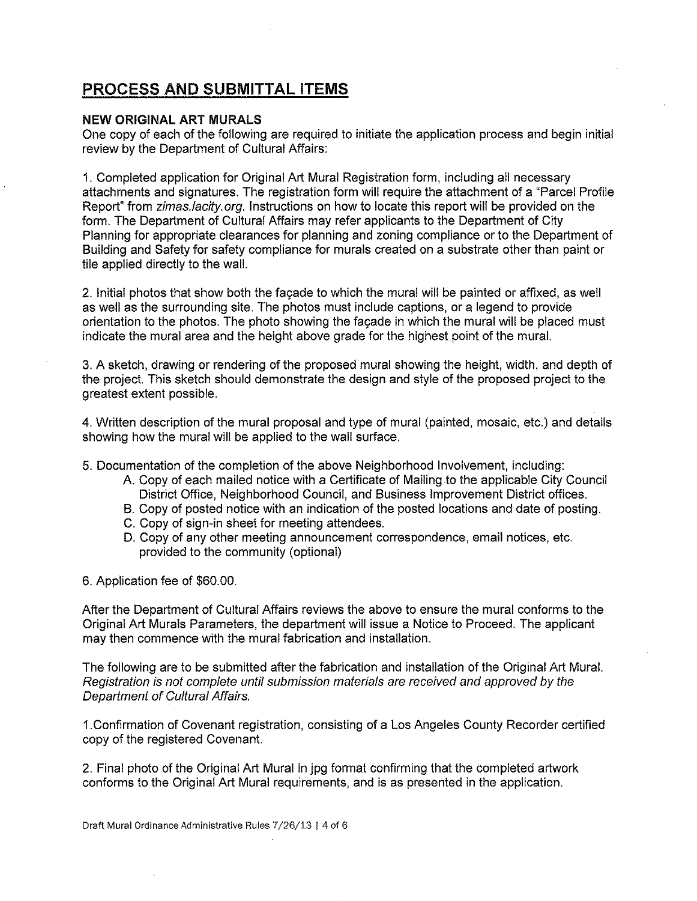# **PROCESS AND SUBMITTAL ITEMS**

### **NEW ORIGINAL ART MURALS**

One copy of each of the following are required to initiate the application process and begin initial review by the Department of Cultural Affairs:

1. Completed application for Original Art Mural Registration form, including all necessary attachments and signatures. The registration form will require the attachment of a "Parcel Profile Report" from zimas.lacity.org. Instructions on how to locate this report will be provided on the form. The Department of Cultural Affairs may refer applicants to the Department of City Planning for appropriate clearances for planning and zoning compliance or to the Department of Building and Safety for safety compliance for murals created on a substrate other than paint or tile applied directly to the wall.

2. Initial photos that show both the fagade to which the mural will be painted or affixed, as well as well as the surrounding site. The photos must include captions, or a legend to provide orientation to the photos. The photo showing the fagade in which the mural will be placed must indicate the mural area and the height above grade for the highest point of the mural.

3. A sketch, drawing or rendering of the proposed mural showing the height, width, and depth of the project. This sketch should demonstrate the design and style of the proposed project to the greatest extent possible.

4. Written description of the mural proposal and type of mural (painted, mosaic, etc.) and details showing how the mural will be applied to the wall surface.

5. Documentation of the completion of the above Neighborhood Involvement, including:

- A. Copy of each mailed notice with a Certificate of Mailing to the applicable City Council District Office, Neighborhood Council, and Business Improvement District offices.
- B. Copy of posted notice with an indication of the posted locations and date of posting.
- C. Copy of sign-in sheet for meeting attendees.
- D. Copy of any other meeting announcement correspondence, email notices, etc. provided to the community (optional)

6. Application fee of \$60.00.

After the Department of Cultural Affairs reviews the above to ensure the mural conforms to the Original Art Murals Parameters, the department will issue a Notice to Proceed. The applicant may then commence with the mural fabrication and installation.

The following are to be submitted after the fabrication and installation of the Original Art Mural. Registration is not complete until submission materials are received and approved by the Department of Cultural Affairs.

1.Confirmation of Covenant registration, consisting of a Los Angeles County Recorder certified copy of the registered Covenant.

2. Final photo of the Original Art Mural in jpg format confirming that the completed artwork conforms to the Original Art Mural requirements, and is as presented in the application.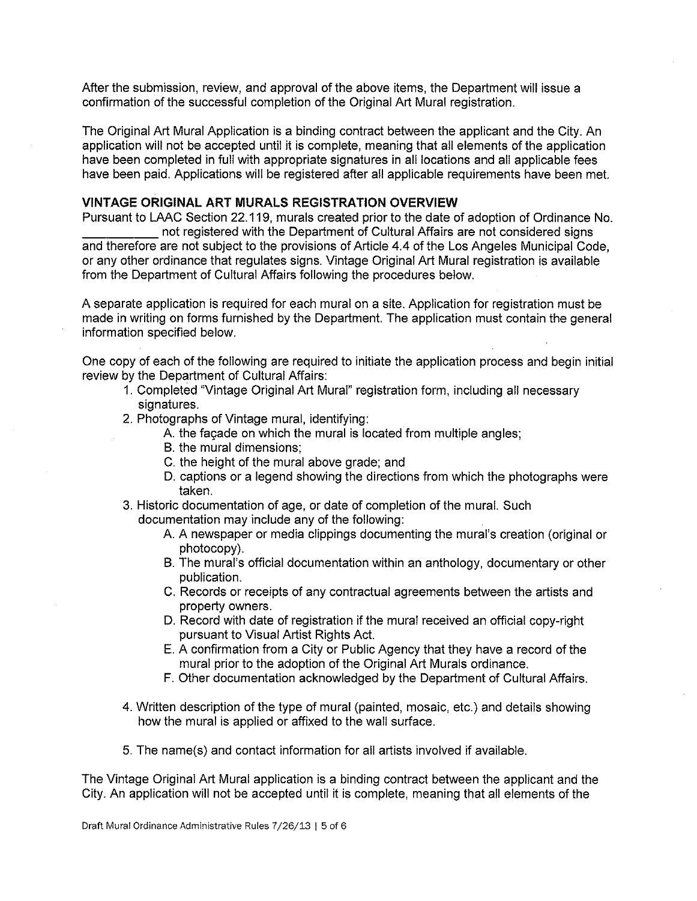After the submission, review, and approval of the above items, the Department will issue a confirmation of the successful completion of the Original Art Mural registration.

The Original Art Mural Application is a binding contract between the applicant and the City. An application will not be accepted until it is complete, meaning that all elements of the application have been completed in full with appropriate signatures in all locations and all applicable fees have been paid. Applications will be registered after all applicable requirements have been met.

### **VINTAGE ORIGINAL ART MURALS REGISTRATION OVERVIEW**

Pursuant to LAAC Section 22.119, murals created prior to the date of adoption of Ordinance No. not registered with the Department of Cultural Affairs are not considered signs and therefore are not subject to the provisions of Article 4.4 of the Los Angeles Municipal Code, or any other ordinance that regulates signs. Vintage Original Art Mural registration is available from the Department of Cultural Affairs following the procedures below.

A separate application is required for each mural on a site. Application for registration must be made in writing on forms furnished by the Department. The application must contain the general information specified below.

One copy of each of the following are required to initiate the application process and begin initial review by the Department of Cultural Affairs:

- 1. Completed "Vintage Original Art Mural" registration form, including all necessary signatures.
- 2. Photographs of Vintage mural, identifying:
	- A. the fagade on which the mural is located from multiple angles;
	- B. the mural dimensions;
	- C. the height of the mural above grade; and
	- D. captions or a legend showing the directions from which the photographs were taken.
- 3. Historic documentation of age, or date of completion of the mural. Such
	- documentation may include any of the following:
		- A. A newspaper or media clippings documenting the mural's creation (original or photocopy).
		- B. The mural's official documentation within an anthology, documentary or other publication.
		- C. Records or receipts of any contractual agreements between the artists and property owners.
		- D. Record with date of registration if the mural received an official copy-right pursuant to Visual Artist Rights Act.
		- E. A confirmation from a City or Public Agency that they have a record of the mural prior to the adoption of the Original Art Murals ordinance.
		- F. Other documentation acknowledged by the Department of Cultural Affairs.
- 4. Written description of the type of mural (painted, mosaic, etc.) and details showing how the mural is applied or affixed to the wall surface.
- 5. The name(s) and contact information for all artists involved if available.

The Vintage Original Art Mural application is a binding contract between the applicant and the City. An application will not be accepted until it is complete, meaning that all elements of the